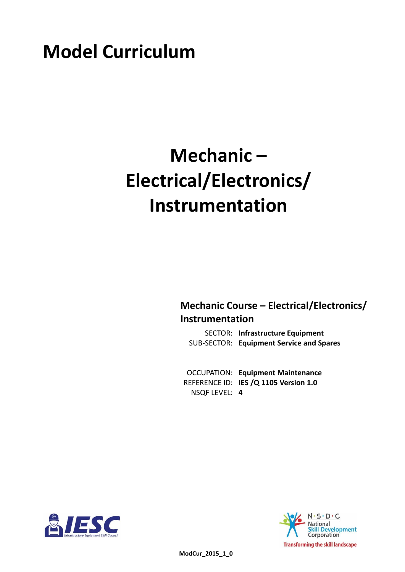# **Model Curriculum**

# **Mechanic – Electrical/Electronics/ Instrumentation**

**Mechanic Course – Electrical/Electronics/ Instrumentation**

**Infrastructure Equipment** SECTOR: **Equipment Service and Spares** SUB-SECTOR:

**Equipment Maintenance** OCCUPATION: REFERENCE ID: IES /Q 1105 Version 1.0 **4** NSQF LEVEL:



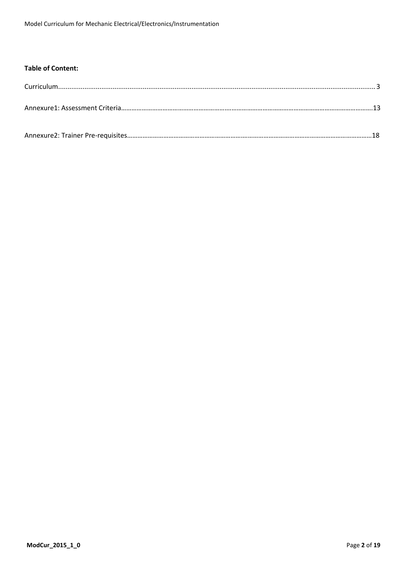## **Table of Content:**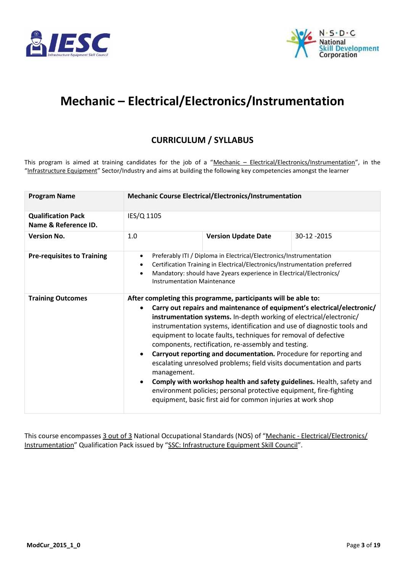



# <span id="page-2-0"></span>**Mechanic – Electrical/Electronics/Instrumentation**

# **CURRICULUM / SYLLABUS**

This program is aimed at training candidates for the job of a "Mechanic - Electrical/Electronics/Instrumentation", in the "Infrastructure Equipment" Sector/Industry and aims at building the following key competencies amongst the learner

| <b>Program Name</b>                               |                                                                                                                                                                                                                                                                                         | <b>Mechanic Course Electrical/Electronics/Instrumentation</b>                                                                                                                                                                                                                                                                                                                                                                                                                                                                                                                                                                                                                                                                                                                    |             |  |  |  |
|---------------------------------------------------|-----------------------------------------------------------------------------------------------------------------------------------------------------------------------------------------------------------------------------------------------------------------------------------------|----------------------------------------------------------------------------------------------------------------------------------------------------------------------------------------------------------------------------------------------------------------------------------------------------------------------------------------------------------------------------------------------------------------------------------------------------------------------------------------------------------------------------------------------------------------------------------------------------------------------------------------------------------------------------------------------------------------------------------------------------------------------------------|-------------|--|--|--|
| <b>Qualification Pack</b><br>Name & Reference ID. | IES/Q 1105                                                                                                                                                                                                                                                                              |                                                                                                                                                                                                                                                                                                                                                                                                                                                                                                                                                                                                                                                                                                                                                                                  |             |  |  |  |
| <b>Version No.</b>                                | 1.0                                                                                                                                                                                                                                                                                     | <b>Version Update Date</b>                                                                                                                                                                                                                                                                                                                                                                                                                                                                                                                                                                                                                                                                                                                                                       | 30-12 -2015 |  |  |  |
| <b>Pre-requisites to Training</b>                 | Preferably ITI / Diploma in Electrical/Electronics/Instrumentation<br>$\bullet$<br>Certification Training in Electrical/Electronics/Instrumentation preferred<br>Mandatory: should have 2years experience in Electrical/Electronics/<br>$\bullet$<br><b>Instrumentation Maintenance</b> |                                                                                                                                                                                                                                                                                                                                                                                                                                                                                                                                                                                                                                                                                                                                                                                  |             |  |  |  |
| <b>Training Outcomes</b>                          | $\bullet$<br>management.<br>$\bullet$                                                                                                                                                                                                                                                   | After completing this programme, participants will be able to:<br>Carry out repairs and maintenance of equipment's electrical/electronic/<br>instrumentation systems. In-depth working of electrical/electronic/<br>instrumentation systems, identification and use of diagnostic tools and<br>equipment to locate faults, techniques for removal of defective<br>components, rectification, re-assembly and testing.<br>Carryout reporting and documentation. Procedure for reporting and<br>escalating unresolved problems; field visits documentation and parts<br>Comply with workshop health and safety guidelines. Health, safety and<br>environment policies; personal protective equipment, fire-fighting<br>equipment, basic first aid for common injuries at work shop |             |  |  |  |

This course encompasses 3 out of 3 National Occupational Standards (NOS) of "Mechanic - Electrical/Electronics/ Instrumentation" Qualification Pack issued by "SSC: Infrastructure Equipment Skill Council".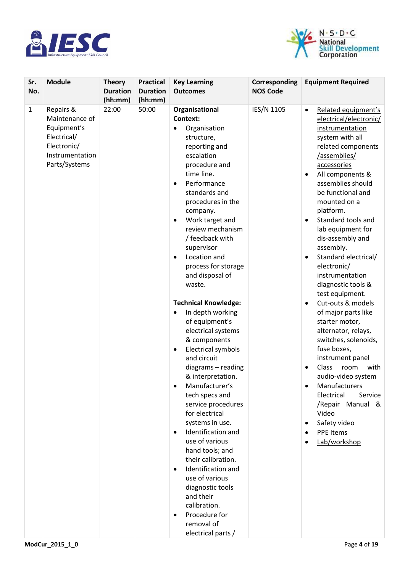



| Sr.<br>No.   | <b>Module</b>                                                                                                | <b>Theory</b><br><b>Duration</b><br>(hh:mm) | <b>Practical</b><br><b>Duration</b><br>(hh:mm) | <b>Key Learning</b><br><b>Outcomes</b>                                                                                                                                                                                                                                                                                                                                                                                                                                                                                                                                                                                                                                          | Corresponding<br><b>NOS Code</b> | <b>Equipment Required</b>                                                                                                                                                                                                                                                                                                                                                                                                                                                                                                                                                                                                                                                                                                                                                   |
|--------------|--------------------------------------------------------------------------------------------------------------|---------------------------------------------|------------------------------------------------|---------------------------------------------------------------------------------------------------------------------------------------------------------------------------------------------------------------------------------------------------------------------------------------------------------------------------------------------------------------------------------------------------------------------------------------------------------------------------------------------------------------------------------------------------------------------------------------------------------------------------------------------------------------------------------|----------------------------------|-----------------------------------------------------------------------------------------------------------------------------------------------------------------------------------------------------------------------------------------------------------------------------------------------------------------------------------------------------------------------------------------------------------------------------------------------------------------------------------------------------------------------------------------------------------------------------------------------------------------------------------------------------------------------------------------------------------------------------------------------------------------------------|
| $\mathbf{1}$ | Repairs &<br>Maintenance of<br>Equipment's<br>Electrical/<br>Electronic/<br>Instrumentation<br>Parts/Systems | 22:00                                       | 50:00                                          | Organisational<br>Context:<br>Organisation<br>$\bullet$<br>structure,<br>reporting and<br>escalation<br>procedure and<br>time line.<br>Performance<br>$\bullet$<br>standards and<br>procedures in the<br>company.<br>Work target and<br>٠<br>review mechanism<br>/ feedback with<br>supervisor<br>Location and<br>$\bullet$<br>process for storage<br>and disposal of<br>waste.<br><b>Technical Knowledge:</b><br>In depth working<br>٠<br>of equipment's<br>electrical systems<br>& components<br><b>Electrical symbols</b><br>$\bullet$<br>and circuit<br>diagrams - reading<br>& interpretation.<br>Manufacturer's<br>tech specs and<br>service procedures<br>for electrical | IES/N 1105                       | Related equipment's<br>$\bullet$<br>electrical/electronic/<br>instrumentation<br>system with all<br>related components<br>/assemblies/<br>accessories<br>All components &<br>٠<br>assemblies should<br>be functional and<br>mounted on a<br>platform.<br>Standard tools and<br>$\bullet$<br>lab equipment for<br>dis-assembly and<br>assembly.<br>Standard electrical/<br>$\bullet$<br>electronic/<br>instrumentation<br>diagnostic tools &<br>test equipment.<br>Cut-outs & models<br>$\bullet$<br>of major parts like<br>starter motor,<br>alternator, relays,<br>switches, solenoids,<br>fuse boxes,<br>instrument panel<br>Class<br>room<br>with<br>$\bullet$<br>audio-video system<br>Manufacturers<br>$\bullet$<br>Electrical<br>Service<br>/Repair Manual &<br>Video |
|              |                                                                                                              |                                             |                                                | systems in use.<br>Identification and<br>$\bullet$<br>use of various<br>hand tools; and                                                                                                                                                                                                                                                                                                                                                                                                                                                                                                                                                                                         |                                  | Safety video<br>٠<br><b>PPE Items</b><br>Lab/workshop                                                                                                                                                                                                                                                                                                                                                                                                                                                                                                                                                                                                                                                                                                                       |
|              |                                                                                                              |                                             |                                                | their calibration.<br>Identification and<br>$\bullet$<br>use of various<br>diagnostic tools<br>and their<br>calibration.<br>Procedure for<br>٠<br>removal of<br>electrical parts /                                                                                                                                                                                                                                                                                                                                                                                                                                                                                              |                                  |                                                                                                                                                                                                                                                                                                                                                                                                                                                                                                                                                                                                                                                                                                                                                                             |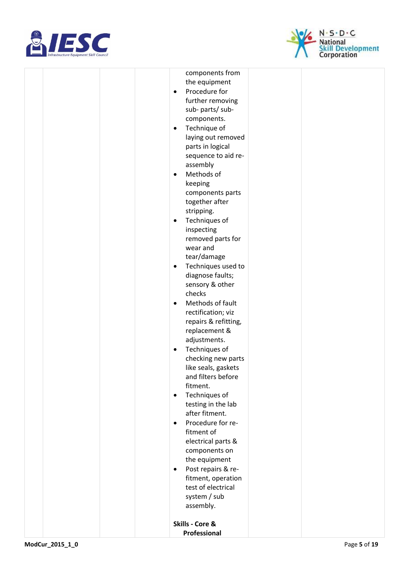



|  | components from                 |
|--|---------------------------------|
|  | the equipment                   |
|  | Procedure for<br>$\bullet$      |
|  | further removing                |
|  | sub-parts/sub-                  |
|  | components.                     |
|  | Technique of<br>$\bullet$       |
|  | laying out removed              |
|  | parts in logical                |
|  | sequence to aid re-             |
|  | assembly                        |
|  | Methods of<br>$\bullet$         |
|  | keeping                         |
|  | components parts                |
|  | together after                  |
|  | stripping.                      |
|  | Techniques of<br>$\bullet$      |
|  | inspecting                      |
|  | removed parts for               |
|  | wear and                        |
|  | tear/damage                     |
|  | Techniques used to<br>$\bullet$ |
|  | diagnose faults;                |
|  | sensory & other                 |
|  | checks                          |
|  | Methods of fault<br>$\bullet$   |
|  | rectification; viz              |
|  | repairs & refitting,            |
|  | replacement &                   |
|  | adjustments.                    |
|  | Techniques of<br>٠              |
|  | checking new parts              |
|  | like seals, gaskets             |
|  | and filters before              |
|  | fitment.                        |
|  | Techniques of<br>$\bullet$      |
|  | testing in the lab              |
|  | after fitment.                  |
|  | Procedure for re-<br>$\bullet$  |
|  | fitment of                      |
|  | electrical parts &              |
|  | components on                   |
|  | the equipment                   |
|  | Post repairs & re-<br>$\bullet$ |
|  | fitment, operation              |
|  | test of electrical              |
|  | system / sub                    |
|  | assembly.                       |
|  |                                 |
|  | Skills - Core &                 |
|  | Professional                    |
|  |                                 |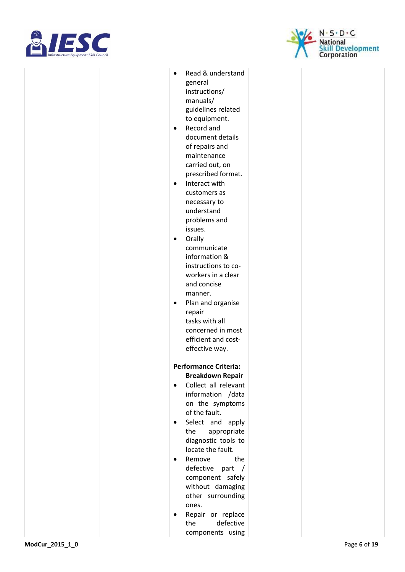



|  |  | Read & understand<br>$\bullet$ |
|--|--|--------------------------------|
|  |  |                                |
|  |  | general                        |
|  |  | instructions/                  |
|  |  | manuals/                       |
|  |  | guidelines related             |
|  |  |                                |
|  |  | to equipment.                  |
|  |  | Record and<br>$\bullet$        |
|  |  | document details               |
|  |  |                                |
|  |  | of repairs and                 |
|  |  | maintenance                    |
|  |  | carried out, on                |
|  |  | prescribed format.             |
|  |  |                                |
|  |  | Interact with<br>$\bullet$     |
|  |  | customers as                   |
|  |  | necessary to                   |
|  |  | understand                     |
|  |  |                                |
|  |  | problems and                   |
|  |  | issues.                        |
|  |  | Orally<br>$\bullet$            |
|  |  | communicate                    |
|  |  |                                |
|  |  | information &                  |
|  |  | instructions to co-            |
|  |  | workers in a clear             |
|  |  | and concise                    |
|  |  |                                |
|  |  | manner.                        |
|  |  | Plan and organise<br>$\bullet$ |
|  |  | repair                         |
|  |  | tasks with all                 |
|  |  |                                |
|  |  | concerned in most              |
|  |  | efficient and cost-            |
|  |  | effective way.                 |
|  |  |                                |
|  |  | <b>Performance Criteria:</b>   |
|  |  |                                |
|  |  | <b>Breakdown Repair</b>        |
|  |  | Collect all relevant           |
|  |  | information /data              |
|  |  |                                |
|  |  | on the symptoms                |
|  |  | of the fault.                  |
|  |  | Select and apply               |
|  |  | the<br>appropriate             |
|  |  |                                |
|  |  | diagnostic tools to            |
|  |  | locate the fault.              |
|  |  | Remove<br>the                  |
|  |  | defective part /               |
|  |  |                                |
|  |  | component safely               |
|  |  | without damaging               |
|  |  | other surrounding              |
|  |  | ones.                          |
|  |  |                                |
|  |  | Repair or replace              |
|  |  | defective<br>the               |
|  |  | components using               |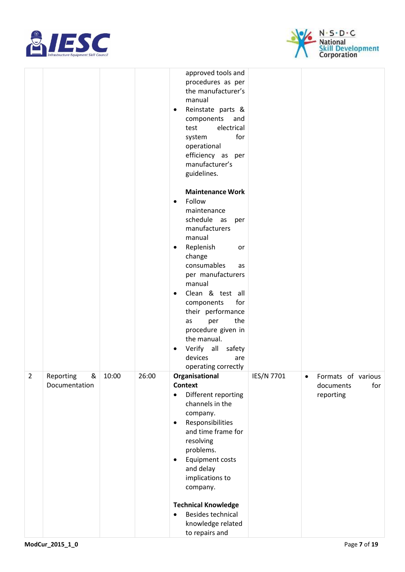



|                |                                 |       |       | approved tools and<br>procedures as per<br>the manufacturer's<br>manual<br>Reinstate parts &<br>$\bullet$<br>components<br>and<br>electrical<br>test<br>for<br>system<br>operational<br>efficiency as per<br>manufacturer's<br>guidelines.<br><b>Maintenance Work</b><br>Follow<br>$\bullet$<br>maintenance<br>schedule as<br>per<br>manufacturers<br>manual<br>Replenish<br>or<br>$\bullet$<br>change<br>consumables<br>as<br>per manufacturers<br>manual<br>Clean & test all<br>$\bullet$<br>for<br>components<br>their performance<br>the<br>per<br>as<br>procedure given in |            |                                                                  |
|----------------|---------------------------------|-------|-------|---------------------------------------------------------------------------------------------------------------------------------------------------------------------------------------------------------------------------------------------------------------------------------------------------------------------------------------------------------------------------------------------------------------------------------------------------------------------------------------------------------------------------------------------------------------------------------|------------|------------------------------------------------------------------|
|                |                                 |       |       | the manual.<br>Verify all<br>safety<br>devices<br>are                                                                                                                                                                                                                                                                                                                                                                                                                                                                                                                           |            |                                                                  |
|                |                                 |       |       | operating correctly                                                                                                                                                                                                                                                                                                                                                                                                                                                                                                                                                             |            |                                                                  |
| $\overline{2}$ | Reporting<br>&<br>Documentation | 10:00 | 26:00 | Organisational<br><b>Context</b><br>Different reporting<br>$\bullet$<br>channels in the<br>company.<br>Responsibilities<br>$\bullet$<br>and time frame for<br>resolving<br>problems.<br><b>Equipment costs</b><br>$\bullet$<br>and delay<br>implications to<br>company.<br><b>Technical Knowledge</b>                                                                                                                                                                                                                                                                           | IES/N 7701 | Formats of various<br>$\bullet$<br>documents<br>for<br>reporting |
|                |                                 |       |       | Besides technical<br>$\bullet$<br>knowledge related<br>to repairs and                                                                                                                                                                                                                                                                                                                                                                                                                                                                                                           |            |                                                                  |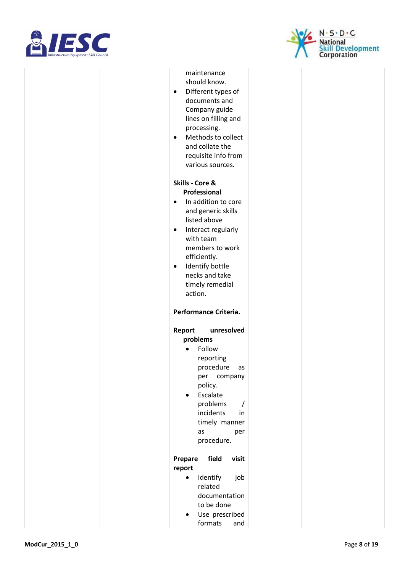



|  |  | maintenance                      |  |
|--|--|----------------------------------|--|
|  |  | should know.                     |  |
|  |  | Different types of<br>$\bullet$  |  |
|  |  | documents and                    |  |
|  |  | Company guide                    |  |
|  |  | lines on filling and             |  |
|  |  | processing.                      |  |
|  |  | Methods to collect<br>$\bullet$  |  |
|  |  | and collate the                  |  |
|  |  | requisite info from              |  |
|  |  | various sources.                 |  |
|  |  |                                  |  |
|  |  | Skills - Core &                  |  |
|  |  | Professional                     |  |
|  |  | In addition to core<br>$\bullet$ |  |
|  |  | and generic skills               |  |
|  |  | listed above                     |  |
|  |  | Interact regularly<br>$\bullet$  |  |
|  |  | with team                        |  |
|  |  | members to work                  |  |
|  |  | efficiently.                     |  |
|  |  | Identify bottle<br>$\bullet$     |  |
|  |  | necks and take                   |  |
|  |  | timely remedial                  |  |
|  |  | action.                          |  |
|  |  |                                  |  |
|  |  | Performance Criteria.            |  |
|  |  | unresolved<br>Report             |  |
|  |  | problems                         |  |
|  |  | Follow<br>$\bullet$              |  |
|  |  | reporting                        |  |
|  |  | procedure<br>as                  |  |
|  |  | company<br>per                   |  |
|  |  | policy.                          |  |
|  |  | Escalate<br>$\bullet$            |  |
|  |  | problems<br>$\prime$             |  |
|  |  | incidents<br>in                  |  |
|  |  | timely manner                    |  |
|  |  | as<br>per                        |  |
|  |  | procedure.                       |  |
|  |  |                                  |  |
|  |  | field<br>visit<br>Prepare        |  |
|  |  | report                           |  |
|  |  | Identify<br>$\bullet$<br>job     |  |
|  |  | related                          |  |
|  |  | documentation<br>to be done      |  |
|  |  |                                  |  |
|  |  | Use prescribed<br>$\bullet$      |  |
|  |  | formats<br>and                   |  |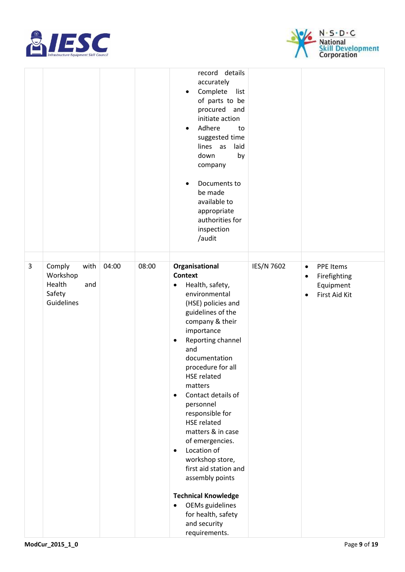



|   |                                                                     |       |       | record details<br>accurately<br>Complete<br>list<br>$\bullet$<br>of parts to be<br>procured and<br>initiate action<br>Adhere<br>to<br>$\bullet$<br>suggested time<br>lines as<br>laid<br>down<br>by<br>company<br>Documents to<br>$\bullet$<br>be made<br>available to<br>appropriate<br>authorities for<br>inspection<br>/audit                                                                                                                                                                                                                                                                                               |            |                                                                                        |
|---|---------------------------------------------------------------------|-------|-------|--------------------------------------------------------------------------------------------------------------------------------------------------------------------------------------------------------------------------------------------------------------------------------------------------------------------------------------------------------------------------------------------------------------------------------------------------------------------------------------------------------------------------------------------------------------------------------------------------------------------------------|------------|----------------------------------------------------------------------------------------|
| 3 | Comply<br>with<br>Workshop<br>Health<br>and<br>Safety<br>Guidelines | 04:00 | 08:00 | Organisational<br><b>Context</b><br>Health, safety,<br>$\bullet$<br>environmental<br>(HSE) policies and<br>guidelines of the<br>company & their<br>importance<br>Reporting channel<br>$\bullet$<br>and<br>documentation<br>procedure for all<br><b>HSE related</b><br>matters<br>Contact details of<br>$\bullet$<br>personnel<br>responsible for<br><b>HSE related</b><br>matters & in case<br>of emergencies.<br>Location of<br>$\bullet$<br>workshop store,<br>first aid station and<br>assembly points<br><b>Technical Knowledge</b><br>OEMs guidelines<br>$\bullet$<br>for health, safety<br>and security<br>requirements. | IES/N 7602 | PPE Items<br>$\bullet$<br>Firefighting<br>٠<br>Equipment<br>First Aid Kit<br>$\bullet$ |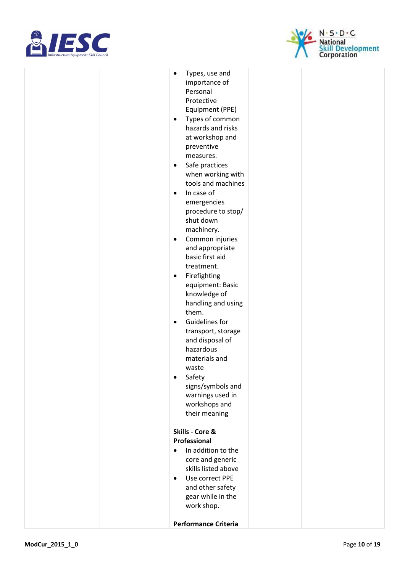



|  |  | $\bullet$ | Types, use and                          |  |
|--|--|-----------|-----------------------------------------|--|
|  |  |           | importance of<br>Personal               |  |
|  |  |           | Protective                              |  |
|  |  |           | Equipment (PPE)                         |  |
|  |  | $\bullet$ | Types of common                         |  |
|  |  |           | hazards and risks                       |  |
|  |  |           | at workshop and                         |  |
|  |  |           | preventive                              |  |
|  |  |           | measures.                               |  |
|  |  | $\bullet$ | Safe practices                          |  |
|  |  |           | when working with                       |  |
|  |  |           | tools and machines                      |  |
|  |  | $\bullet$ | In case of                              |  |
|  |  |           | emergencies                             |  |
|  |  |           | procedure to stop/                      |  |
|  |  |           | shut down                               |  |
|  |  |           | machinery.                              |  |
|  |  | $\bullet$ | Common injuries                         |  |
|  |  |           | and appropriate                         |  |
|  |  |           | basic first aid                         |  |
|  |  |           | treatment.                              |  |
|  |  | $\bullet$ | Firefighting                            |  |
|  |  |           | equipment: Basic                        |  |
|  |  |           | knowledge of                            |  |
|  |  |           | handling and using                      |  |
|  |  |           | them.                                   |  |
|  |  | $\bullet$ | Guidelines for                          |  |
|  |  |           | transport, storage<br>and disposal of   |  |
|  |  |           | hazardous                               |  |
|  |  |           | materials and                           |  |
|  |  |           | waste                                   |  |
|  |  | $\bullet$ | Safety                                  |  |
|  |  |           | signs/symbols and                       |  |
|  |  |           | warnings used in                        |  |
|  |  |           | workshops and                           |  |
|  |  |           | their meaning                           |  |
|  |  |           |                                         |  |
|  |  |           | Skills - Core &                         |  |
|  |  |           | Professional                            |  |
|  |  |           | In addition to the                      |  |
|  |  |           | core and generic<br>skills listed above |  |
|  |  | $\bullet$ | Use correct PPE                         |  |
|  |  |           | and other safety                        |  |
|  |  |           | gear while in the                       |  |
|  |  |           | work shop.                              |  |
|  |  |           |                                         |  |
|  |  |           | <b>Performance Criteria</b>             |  |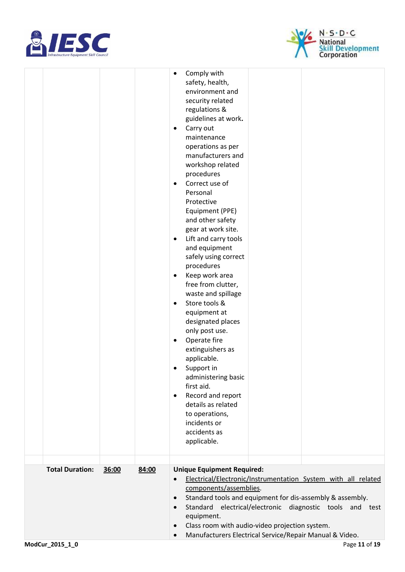



|                        |                | Comply with<br>٠<br>safety, health,<br>environment and<br>security related<br>regulations &<br>guidelines at work.<br>Carry out<br>٠<br>maintenance<br>operations as per<br>manufacturers and<br>workshop related<br>procedures<br>Correct use of<br>$\bullet$<br>Personal<br>Protective<br>Equipment (PPE)<br>and other safety<br>gear at work site.<br>Lift and carry tools<br>٠<br>and equipment<br>safely using correct<br>procedures<br>Keep work area<br>٠<br>free from clutter,<br>waste and spillage<br>Store tools &<br>$\bullet$<br>equipment at<br>designated places<br>only post use.<br>Operate fire<br>٠<br>extinguishers as<br>applicable.<br>Support in<br>٠<br>administering basic<br>first aid.<br>Record and report<br>$\bullet$<br>details as related<br>to operations,<br>incidents or<br>accidents as<br>applicable. |
|------------------------|----------------|--------------------------------------------------------------------------------------------------------------------------------------------------------------------------------------------------------------------------------------------------------------------------------------------------------------------------------------------------------------------------------------------------------------------------------------------------------------------------------------------------------------------------------------------------------------------------------------------------------------------------------------------------------------------------------------------------------------------------------------------------------------------------------------------------------------------------------------------|
| <b>Total Duration:</b> | 84:00<br>36:00 | <b>Unique Equipment Required:</b><br>Electrical/Electronic/Instrumentation System with all related<br>$\bullet$<br>components/assemblies.                                                                                                                                                                                                                                                                                                                                                                                                                                                                                                                                                                                                                                                                                                  |
|                        |                | Standard tools and equipment for dis-assembly & assembly.<br>$\bullet$<br>Standard electrical/electronic diagnostic tools and test<br>$\bullet$<br>equipment.<br>Class room with audio-video projection system.<br>$\bullet$                                                                                                                                                                                                                                                                                                                                                                                                                                                                                                                                                                                                               |
| ModCur_2015_1_0        |                | Manufacturers Electrical Service/Repair Manual & Video.<br>$\bullet$<br>Page 11 of 19                                                                                                                                                                                                                                                                                                                                                                                                                                                                                                                                                                                                                                                                                                                                                      |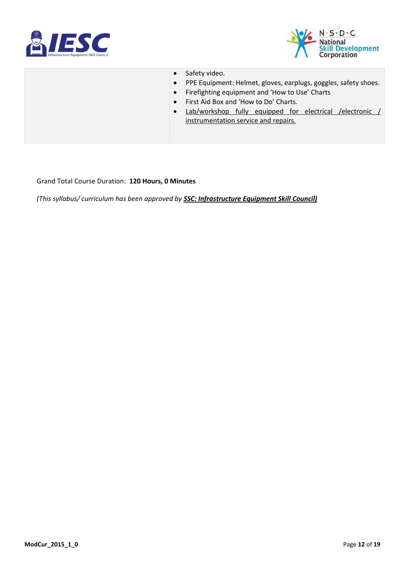



• Safety video. • PPE Equipment: Helmet, gloves, earplugs, goggles, safety shoes. • Firefighting equipment and 'How to Use' Charts • First Aid Box and 'How to Do' Charts. • Lab/workshop fully equipped for electrical /electronic / instrumentation service and repairs.

Grand Total Course Duration: **120 Hours, 0 Minutes**

*(This syllabus/ curriculum has been approved by SSC: Infrastructure Equipment Skill Council)*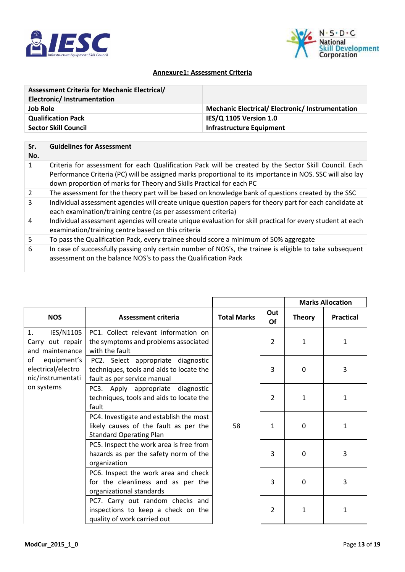



### **Annexure1: Assessment Criteria**

| <b>Assessment Criteria for Mechanic Electrical/</b> |                                                         |
|-----------------------------------------------------|---------------------------------------------------------|
| Electronic/Instrumentation                          |                                                         |
| <b>Job Role</b>                                     | <b>Mechanic Electrical/ Electronic/ Instrumentation</b> |
| <b>Qualification Pack</b>                           | IES/Q 1105 Version 1.0                                  |
| <b>Sector Skill Council</b>                         | <b>Infrastructure Equipment</b>                         |
|                                                     |                                                         |

| Sr.<br>No. | <b>Guidelines for Assessment</b>                                                                                                                                                                                                                                                           |
|------------|--------------------------------------------------------------------------------------------------------------------------------------------------------------------------------------------------------------------------------------------------------------------------------------------|
| 1          | Criteria for assessment for each Qualification Pack will be created by the Sector Skill Council. Each<br>Performance Criteria (PC) will be assigned marks proportional to its importance in NOS. SSC will also lay<br>down proportion of marks for Theory and Skills Practical for each PC |
| 2          | The assessment for the theory part will be based on knowledge bank of questions created by the SSC                                                                                                                                                                                         |
| 3          | Individual assessment agencies will create unique question papers for theory part for each candidate at<br>each examination/training centre (as per assessment criteria)                                                                                                                   |
| 4          | Individual assessment agencies will create unique evaluation for skill practical for every student at each<br>examination/training centre based on this criteria                                                                                                                           |
| 5          | To pass the Qualification Pack, every trainee should score a minimum of 50% aggregate                                                                                                                                                                                                      |
| 6          | In case of successfully passing only certain number of NOS's, the trainee is eligible to take subsequent<br>assessment on the balance NOS's to pass the Qualification Pack                                                                                                                 |

r

|                                                              |                                                                                                                    |                    |           |               | <b>Marks Allocation</b> |
|--------------------------------------------------------------|--------------------------------------------------------------------------------------------------------------------|--------------------|-----------|---------------|-------------------------|
| <b>NOS</b>                                                   | <b>Assessment criteria</b>                                                                                         | <b>Total Marks</b> | Out<br>Of | <b>Theory</b> | <b>Practical</b>        |
| IES/N1105<br>1.<br>Carry out repair<br>and maintenance       | PC1. Collect relevant information on<br>the symptoms and problems associated<br>with the fault                     |                    | 2         | 1             | 1                       |
| of<br>equipment's<br>electrical/electro<br>nic/instrumentati | PC2. Select appropriate diagnostic<br>techniques, tools and aids to locate the<br>fault as per service manual      |                    | 3         | $\mathbf 0$   | 3                       |
| on systems                                                   | PC3. Apply appropriate diagnostic<br>techniques, tools and aids to locate the<br>fault                             |                    | 2         | $\mathbf{1}$  | 1                       |
|                                                              | PC4. Investigate and establish the most<br>likely causes of the fault as per the<br><b>Standard Operating Plan</b> | 58                 | 1         | $\Omega$      | $\mathbf{1}$            |
|                                                              | PC5. Inspect the work area is free from<br>hazards as per the safety norm of the<br>organization                   |                    | 3         | $\mathbf{0}$  | 3                       |
|                                                              | PC6. Inspect the work area and check<br>for the cleanliness and as per the<br>organizational standards             |                    | 3         | $\mathbf{0}$  | 3                       |
|                                                              | PC7. Carry out random checks and<br>inspections to keep a check on the<br>quality of work carried out              |                    | 2         | 1             | 1                       |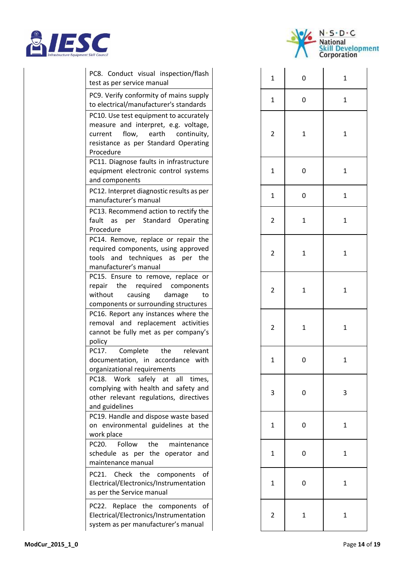



| PC8. Conduct visual inspection/flash<br>test as per service manual                                                                                                              | 1              | 0            | $\mathbf{1}$ |
|---------------------------------------------------------------------------------------------------------------------------------------------------------------------------------|----------------|--------------|--------------|
| PC9. Verify conformity of mains supply<br>to electrical/manufacturer's standards                                                                                                | 1              | 0            | $\mathbf{1}$ |
| PC10. Use test equipment to accurately<br>measure and interpret, e.g. voltage,<br>flow,<br>earth<br>continuity,<br>current<br>resistance as per Standard Operating<br>Procedure | 2              | 1            | $\mathbf{1}$ |
| PC11. Diagnose faults in infrastructure<br>equipment electronic control systems<br>and components                                                                               | 1              | 0            | $\mathbf{1}$ |
| PC12. Interpret diagnostic results as per<br>manufacturer's manual                                                                                                              | $\mathbf{1}$   | 0            | $\mathbf{1}$ |
| PC13. Recommend action to rectify the<br>Standard<br>Operating<br>fault<br>as<br>per<br>Procedure                                                                               | 2              | 1            | $\mathbf{1}$ |
| PC14. Remove, replace or repair the<br>required components, using approved<br>tools and techniques as per<br>the<br>manufacturer's manual                                       | 2              | 1            | $\mathbf{1}$ |
| PC15. Ensure to remove, replace or<br>repair<br>the<br>required<br>components<br>without<br>causing<br>damage<br>to<br>components or surrounding structures                     | 2              | 1            | $\mathbf{1}$ |
| PC16. Report any instances where the<br>removal and replacement activities<br>cannot be fully met as per company's<br>policy                                                    | $\overline{2}$ | $\mathbf{1}$ | 1            |
| the<br>PC17.<br>Complete<br>relevant<br>documentation, in accordance with<br>organizational requirements                                                                        | 1              | 0            | 1            |
| PC18. Work<br>safely at all times,<br>complying with health and safety and<br>other relevant regulations, directives<br>and guidelines                                          | 3              | 0            | 3            |
| PC19. Handle and dispose waste based<br>on environmental guidelines at the<br>work place                                                                                        | 1              | 0            | 1            |
| PC20.<br>Follow<br>the<br>maintenance<br>schedule as per the operator and<br>maintenance manual                                                                                 | 1              | 0            | 1            |
| PC21. Check the<br>components<br>of<br>Electrical/Electronics/Instrumentation<br>as per the Service manual                                                                      | 1              | 0            | 1            |
| PC22. Replace the components of<br>Electrical/Electronics/Instrumentation<br>system as per manufacturer's manual                                                                | 2              | 1            | 1            |

| $\mathbf{1}$            | $\mathbf{0}$ | $\mathbf{1}$            |
|-------------------------|--------------|-------------------------|
| $\mathbf{1}$            | $\mathbf 0$  | $\mathbf{1}$            |
| $\overline{\mathbf{c}}$ | $\mathbf{1}$ | $\mathbf{1}$            |
| $\mathbf{1}$            | $\mathbf{0}$ | $\mathbf{1}$            |
| $\mathbf{1}$            | $\mathbf 0$  | $\mathbf{1}$            |
| $\overline{c}$          | $\mathbf{1}$ | $\mathbf{1}$            |
| $\overline{\mathbf{c}}$ | $\mathbf{1}$ | $\mathbf{1}$            |
| $\overline{\mathbf{c}}$ | $\mathbf{1}$ | $\mathbf{1}$            |
| $\overline{\mathbf{c}}$ | $\mathbf{1}$ | $\mathbf{1}$            |
| $\mathbf{1}$            | $\mathbf{0}$ | $\mathbf{1}$            |
| 3                       | $\mathbf{0}$ | $\overline{\mathbf{3}}$ |
| $\mathbf{1}$            | $\mathbf{0}$ | $\mathbf{1}$            |
| $\mathbf{1}$            | $\mathbf{0}$ | $\mathbf{1}$            |
| $\mathbf{1}$            | $\mathbf{0}$ | $\mathbf{1}$            |
| $\overline{\mathbf{c}}$ | $\mathbf{1}$ | $\mathbf{1}$            |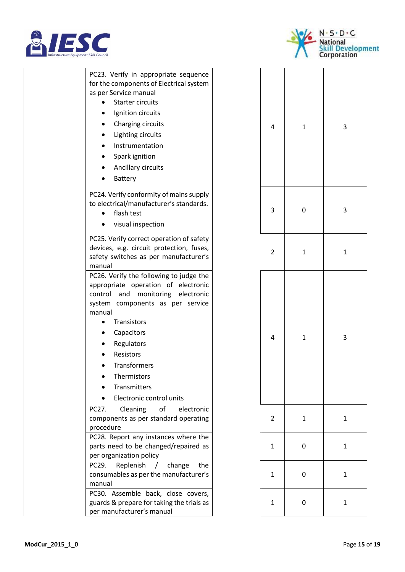



PC23. Verify in appropriate sequence for the components of Electrical system as per Service manual • Starter circuits • Ignition circuits • Charging circuits • Lighting circuits • Instrumentation • Spark ignition • Ancillary circuits • Battery PC24. Verify conformity of mains supply to electrical/manufacturer's standards. • flash test • visual inspection PC25. Verify correct operation of safety devices, e.g. circuit protection, fuses, safety switches as per manufacturer's manual PC26. Verify the following to judge the appropriate operation of electronic control and monitoring electronic system components as per service manual • Transistors • Capacitors • Regulators **Resistors** • Transformers • Thermistors • Transmitters • Electronic control units PC27. Cleaning of electronic components as per standard operating procedure PC28. Report any instances where the parts need to be changed/repaired as per organization policy PC29. Replenish / change the consumables as per the manufacturer's manual

PC30. Assemble back, close covers, guards & prepare for taking the trials as per manufacturer's manual

| $\overline{\mathbf{r}}$ | $\mathbf{1}$ | $\overline{\mathbf{3}}$ |
|-------------------------|--------------|-------------------------|
| 3                       | $\mathbf{0}$ | 3                       |
| $\overline{\mathbf{c}}$ | $\mathbf{1}$ | $\mathbf{1}$            |
| $\overline{\mathbf{r}}$ | $\mathbf{1}$ | $\overline{\mathbf{3}}$ |
| $\overline{\mathbf{c}}$ | $\mathbf{1}$ | $\mathbf{1}$            |
| $\mathbf{1}$            | $\mathbf{0}$ | $\mathbf{1}$            |
| $\mathbf{1}$            | $\mathbf{0}$ | $\mathbf{1}$            |
| $\mathbf{1}$            | $\mathbf{0}$ | $\mathbf{1}$            |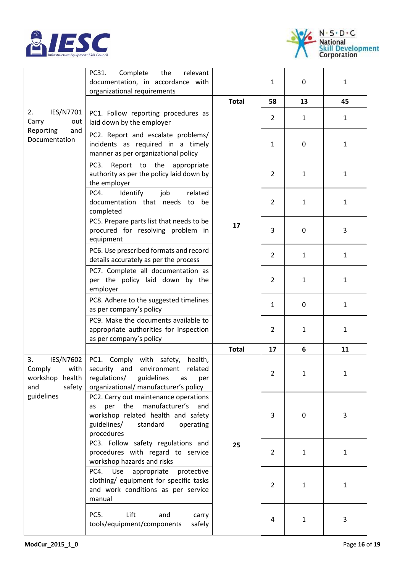



|                                                                          | PC31.<br>Complete<br>the<br>relevant<br>documentation, in accordance with<br>organizational requirements                                                                    |              | 1              | 0            | $\mathbf{1}$ |
|--------------------------------------------------------------------------|-----------------------------------------------------------------------------------------------------------------------------------------------------------------------------|--------------|----------------|--------------|--------------|
|                                                                          |                                                                                                                                                                             | <b>Total</b> | 58             | 13           | 45           |
| 2.<br>IES/N7701<br>Carry<br>out                                          | PC1. Follow reporting procedures as<br>laid down by the employer                                                                                                            |              | 2              | $\mathbf{1}$ | $\mathbf{1}$ |
| Reporting<br>and<br>Documentation                                        | PC2. Report and escalate problems/<br>incidents as required in a timely<br>manner as per organizational policy                                                              |              | 1              | 0            | 1            |
|                                                                          | PC <sub>3</sub> .<br>Report to the appropriate<br>authority as per the policy laid down by<br>the employer                                                                  | 17           | 2              | $\mathbf{1}$ | $\mathbf{1}$ |
|                                                                          | PC4.<br>Identify<br>job<br>related<br>documentation that needs<br>to<br>be<br>completed                                                                                     |              | $\overline{2}$ | $\mathbf{1}$ | 1            |
|                                                                          | PC5. Prepare parts list that needs to be<br>procured for resolving problem in<br>equipment                                                                                  |              | 3              | 0            | 3            |
|                                                                          | PC6. Use prescribed formats and record<br>details accurately as per the process                                                                                             |              | $\overline{2}$ | $\mathbf{1}$ | $\mathbf{1}$ |
|                                                                          | PC7. Complete all documentation as<br>per the policy laid down by the<br>employer                                                                                           |              | 2              | $\mathbf{1}$ | 1            |
|                                                                          | PC8. Adhere to the suggested timelines<br>as per company's policy                                                                                                           |              | 1              | 0            | 1            |
|                                                                          | PC9. Make the documents available to<br>appropriate authorities for inspection<br>as per company's policy                                                                   |              | 2              | 1            | 1            |
|                                                                          |                                                                                                                                                                             | <b>Total</b> | 17             | 6            | 11           |
| IES/N7602<br>3.<br>Comply<br>with<br>workshop<br>health<br>and<br>safety | PC1. Comply with safety,<br>health,<br>security and environment<br>related<br>regulations/<br>guidelines<br>as<br>per<br>organizational/ manufacturer's policy              |              | 2              | 1            | 1            |
| guidelines                                                               | PC2. Carry out maintenance operations<br>manufacturer's<br>per the<br>and<br>as<br>workshop related health and safety<br>guidelines/<br>standard<br>operating<br>procedures |              | 3              | 0            | 3            |
|                                                                          | PC3. Follow safety regulations and<br>procedures with regard to service<br>workshop hazards and risks                                                                       | 25           | $\overline{2}$ | $\mathbf{1}$ | 1            |
|                                                                          | Use<br>PC4.<br>appropriate<br>protective<br>clothing/ equipment for specific tasks<br>and work conditions as per service<br>manual                                          |              | $\overline{2}$ | $\mathbf{1}$ | 1            |
|                                                                          | PC5.<br>Lift<br>and<br>carry<br>tools/equipment/components<br>safely                                                                                                        |              | 4              | $\mathbf{1}$ | 3            |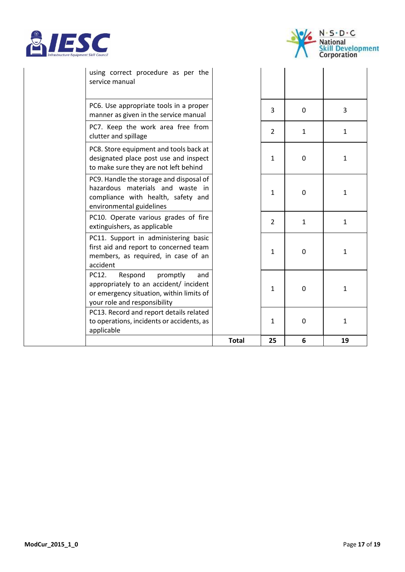



| using correct procedure as per the<br>service manual                                                                                                      |              |               |              |              |
|-----------------------------------------------------------------------------------------------------------------------------------------------------------|--------------|---------------|--------------|--------------|
| PC6. Use appropriate tools in a proper<br>manner as given in the service manual                                                                           |              | 3             | 0            | 3            |
| PC7. Keep the work area free from<br>clutter and spillage                                                                                                 |              | $\mathcal{P}$ | 1            | $\mathbf{1}$ |
| PC8. Store equipment and tools back at<br>designated place post use and inspect<br>to make sure they are not left behind                                  |              | 1             | 0            | $\mathbf{1}$ |
| PC9. Handle the storage and disposal of<br>hazardous materials and waste in<br>compliance with health, safety and<br>environmental guidelines             |              | $\mathbf{1}$  | 0            | $\mathbf{1}$ |
| PC10. Operate various grades of fire<br>extinguishers, as applicable                                                                                      |              | $\mathcal{P}$ | $\mathbf{1}$ | $\mathbf{1}$ |
| PC11. Support in administering basic<br>first aid and report to concerned team<br>members, as required, in case of an<br>accident                         |              | $\mathbf{1}$  | 0            | $\mathbf{1}$ |
| Respond<br>promptly<br>PC12.<br>and<br>appropriately to an accident/ incident<br>or emergency situation, within limits of<br>your role and responsibility |              | 1             | 0            | 1            |
| PC13. Record and report details related<br>to operations, incidents or accidents, as<br>applicable                                                        |              | $\mathbf{1}$  | 0            | $\mathbf{1}$ |
|                                                                                                                                                           | <b>Total</b> | 25            | 6            | 19           |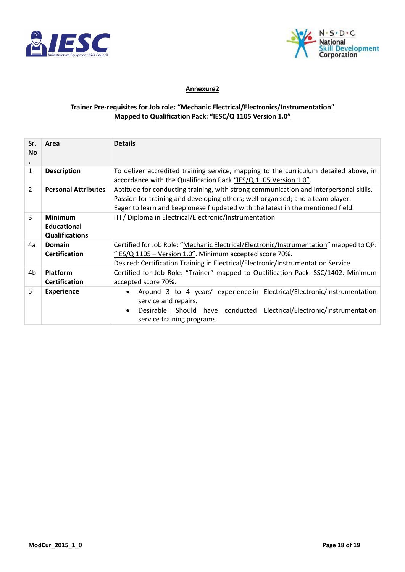



## **Annexure2**

### **Trainer Pre-requisites for Job role: "Mechanic Electrical/Electronics/Instrumentation" Mapped to Qualification Pack: "IESC/Q 1105 Version 1.0"**

| Sr.<br><b>No</b> | Area                                                          | <b>Details</b>                                                                                                                                                                                                                                             |
|------------------|---------------------------------------------------------------|------------------------------------------------------------------------------------------------------------------------------------------------------------------------------------------------------------------------------------------------------------|
| $\mathbf{1}$     | <b>Description</b>                                            | To deliver accredited training service, mapping to the curriculum detailed above, in<br>accordance with the Qualification Pack "IES/Q 1105 Version 1.0".                                                                                                   |
| $\mathfrak{D}$   | <b>Personal Attributes</b>                                    | Aptitude for conducting training, with strong communication and interpersonal skills.<br>Passion for training and developing others; well-organised; and a team player.<br>Eager to learn and keep oneself updated with the latest in the mentioned field. |
| 3                | <b>Minimum</b><br><b>Educational</b><br><b>Qualifications</b> | ITI / Diploma in Electrical/Electronic/Instrumentation                                                                                                                                                                                                     |
| 4a               | Domain<br><b>Certification</b>                                | Certified for Job Role: "Mechanic Electrical/Electronic/Instrumentation" mapped to QP:<br>"IES/Q $1105$ – Version 1.0". Minimum accepted score 70%.<br>Desired: Certification Training in Electrical/Electronic/Instrumentation Service                    |
| 4b               | <b>Platform</b><br><b>Certification</b>                       | Certified for Job Role: "Trainer" mapped to Qualification Pack: SSC/1402. Minimum<br>accepted score 70%.                                                                                                                                                   |
| 5                | <b>Experience</b>                                             | Around 3 to 4 years' experience in Electrical/Electronic/Instrumentation<br>$\bullet$<br>service and repairs.<br>Desirable: Should have conducted Electrical/Electronic/Instrumentation<br>$\bullet$<br>service training programs.                         |